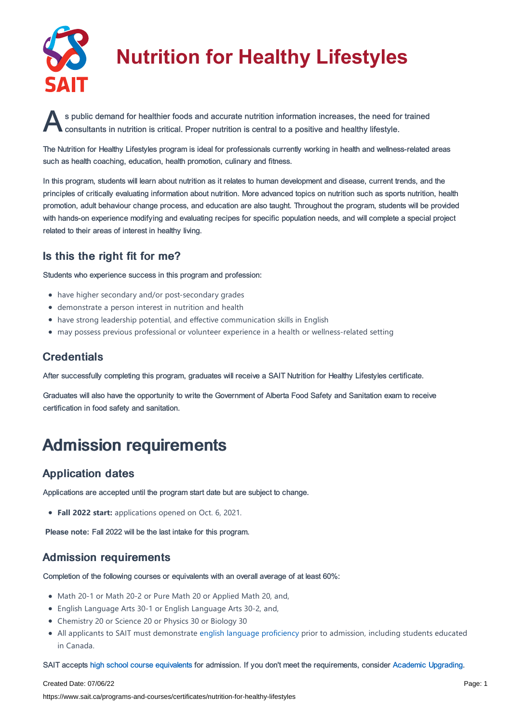

# **Nutrition for Healthy Lifestyles**

s public demand for healthier foods and accurate nutrition information increases, the need for trained<br>consultants in nutrition is critical. Proper nutrition is central to a positive and healthy lifestyle. consultants in nutrition is critical. Proper nutrition is central to a positive and healthy lifestyle.

The Nutrition for Healthy Lifestyles program is ideal for professionals currently working in health and wellness-related areas such as health coaching, education, health promotion, culinary and fitness.

In this program, students will learn about nutrition as it relates to human development and disease, current trends, and the principles of critically evaluating information about nutrition. More advanced topics on nutrition such as sports nutrition, health promotion, adult behaviour change process, and education are also taught. Throughout the program, students will be provided with hands-on experience modifying and evaluating recipes for specific population needs, and will complete a special project related to their areas of interest in healthy living.

### Is this the right fit for me?

Students who experience success in this program and profession:

- have higher secondary and/or post-secondary grades
- demonstrate a person interest in nutrition and health
- have strong leadership potential, and effective communication skills in English
- may possess previous professional or volunteer experience in a health or wellness-related setting

### **Credentials**

After successfully completing this program, graduates will receive a SAIT Nutrition for Healthy Lifestyles certificate.

Graduates will also have the opportunity to write the Government of Alberta Food Safety and Sanitation exam to receive certification in food safety and sanitation.

## Admission requirements

### Application dates

Applications are accepted until the program start date but are subject to change.

**Fall 2022 start:** applications opened on Oct. 6, 2021.

**Please note:** Fall 2022 will be the last intake for this program.

### Admission requirements

Completion of the following courses or equivalents with an overall average of at least 60%:

- Math 20-1 or Math 20-2 or Pure Math 20 or Applied Math 20, and,
- English Language Arts 30-1 or English Language Arts 30-2, and,
- Chemistry 20 or Science 20 or Physics 30 or Biology 30
- All applicants to SAIT must demonstrate english language [proficiency](https://www.sait.ca/admissions/before-you-apply/english-proficiency) prior to admission, including students educated in Canada.

SAIT accepts high school course [equivalents](https://www.sait.ca/admissions/before-you-apply/high-school-course-equivalencies) for admission. If you don't meet the requirements, consider Academic [Upgrading.](https://www.sait.ca/programs-and-courses/academic-upgrading)

#### Created Date: 07/06/22

https://www.sait.ca/programs-and-courses/certificates/nutrition-for-healthy-lifestyles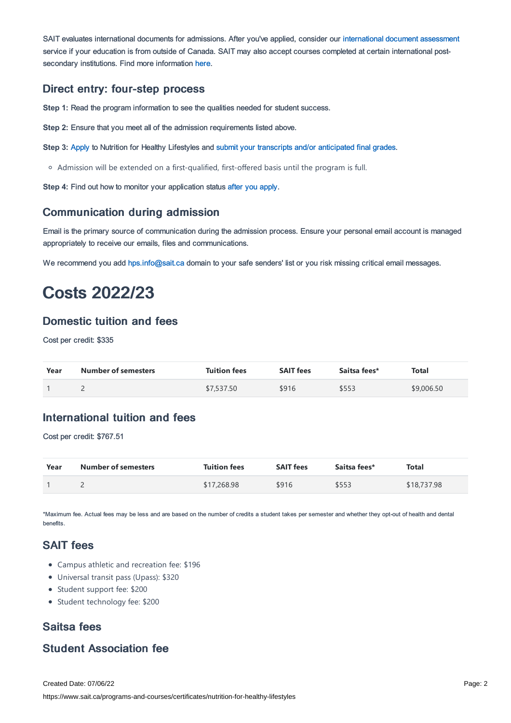SAIT evaluates international documents for admissions. After you've applied, consider our [international](https://www.sait.ca/admissions/after-you-apply/international-document-assessment) document assessment service if your education is from outside of Canada. SAIT may also accept courses completed at certain international postsecondary institutions. Find more information [here.](https://www.sait.ca/admissions/after-you-apply/international-institution-academic-partnerships)

### Direct entry: four-step process

**Step 1:** Read the program information to see the qualities needed for student success.

**Step 2:** Ensure that you meet all of the admission requirements listed above.

**Step 3:** [Apply](https://www.sait.ca/admissions/apply) to Nutrition for Healthy Lifestyles and submit your transcripts and/or [anticipated](https://www.sait.ca/admissions/after-you-apply/transcripts-and-supporting-documents) final grades.

Admission will be extended on a first-qualified, first-offered basis until the program is full.

**Step 4:** Find out how to monitor your application status after you [apply](https://www.sait.ca/admissions/after-you-apply/tracking-your-application).

#### Communication during admission

Email is the primary source of communication during the admission process. Ensure your personal email account is managed appropriately to receive our emails, files and communications.

We recommend you add [hps.info@sait.ca](https://sait.camailto:hps.info@sait.ca) domain to your safe senders' list or you risk missing critical email messages.

### Costs 2022/23

### Domestic tuition and fees

Cost per credit: \$335

| Year | <b>Number of semesters</b> | <b>Tuition fees</b> | <b>SAIT fees</b> | Saitsa fees* | <b>Total</b> |
|------|----------------------------|---------------------|------------------|--------------|--------------|
|      |                            | \$7,537.50          | \$916            | \$553        | \$9,006.50   |

### International tuition and fees

Cost per credit: \$767.51

| Year | Number of semesters | <b>Tuition fees</b> | <b>SAIT fees</b> | Saitsa fees* | Total       |
|------|---------------------|---------------------|------------------|--------------|-------------|
|      |                     | \$17,268.98         | \$916            | \$553        | \$18,737.98 |

\*Maximum fee. Actual fees may be less and are based on the number of credits a student takes per semester and whether they opt-out of health and dental benefits.

### SAIT fees

- Campus athletic and recreation fee: \$196
- Universal transit pass (Upass): \$320
- Student support fee: \$200
- Student technology fee: \$200

### Saitsa fees

### Student Association fee